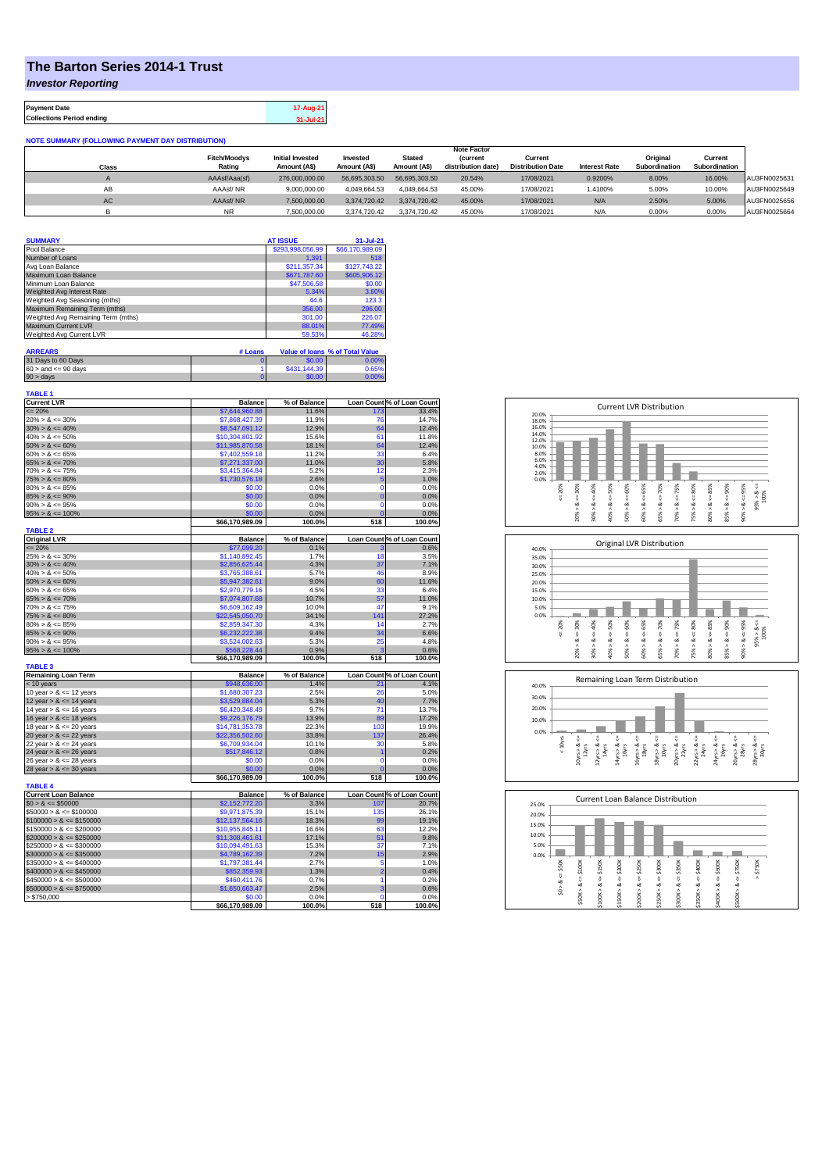## **The Barton Series 2014-1 Trust**

*Investor Reporting*

**Payment Date 17-Aug-21 Collections Period ending 31-Jul-21**

**NOTE SUMMARY (FOLLOWING PAYMENT DAY DISTRIBUTION)**

|       |                     |                         |               |               | <b>Note Factor</b> |                          |                      |               |               |              |
|-------|---------------------|-------------------------|---------------|---------------|--------------------|--------------------------|----------------------|---------------|---------------|--------------|
|       | <b>Fitch/Moodvs</b> | <b>Initial Invested</b> | Invested      | <b>Stated</b> | <b>(current</b>    | Current                  |                      | Original      | Current       |              |
| Class | Rating              | Amount (AS)             | Amount (A\$)  | Amount (A\$)  | distribution date) | <b>Distribution Date</b> | <b>Interest Rate</b> | Subordination | Subordination |              |
|       | AAAsf/Aaa(sf)       | 276,000,000.00          | 56.695.303.50 | 56.695.303.50 | 20.54%             | 17/08/2021               | 0.9200%              | 8.00%         | 16.00%        | AU3FN0025631 |
| AB    | AAAsf/NR            | 9,000,000.00            | 4.049.664.53  | 4.049.664.53  | 45.00%             | 17/08/2021               | 1.4100%              | 5.00%         | 10.00%        | AU3FN0025649 |
| AC    | AAAsf/NR            | 7,500,000.00            | 3.374.720.42  | 3.374.720.42  | 45.00%             | 17/08/2021               | N/A                  | 2.50%         | 5.00%         | AU3FN0025656 |
|       | <b>NR</b>           | 7.500.000.00            | 3.374.720.42  | 3.374.720.42  | 45.00%             | 17/08/2021               | N/A                  | 0.00%         | 0.00%         | AU3FN0025664 |

| <b>SUMMARY</b>                     | <b>AT ISSUE</b>  | 31-Jul-21       |
|------------------------------------|------------------|-----------------|
| Pool Balance                       | \$293,998,056.99 | \$66,170,989.09 |
| Number of Loans                    | 1.391            | 518             |
| Avg Loan Balance                   | \$211,357.34     | \$127,743.22    |
| Maximum Loan Balance               | \$671,787.60     | \$605,906.12    |
| Minimum Loan Balance               | \$47,506.58      | \$0.00          |
| Weighted Avg Interest Rate         | 5.34%            | 3.60%           |
| Weighted Avg Seasoning (mths)      | 44.6             | 123.3           |
| Maximum Remaining Term (mths)      | 356.00           | 296.00          |
| Weighted Avg Remaining Term (mths) | 301.00           | 226.07          |
| Maximum Current LVR                | 88.01%           | 77.49%          |
| Weighted Avg Current LVR           | 59.53%           | 46.28%          |

| <b>ARREARS</b>            | # Loans |              | Value of Ioans % of Total Value |
|---------------------------|---------|--------------|---------------------------------|
| 31 Days to 60 Days        |         | \$0.00       | 0.00%                           |
| $60 >$ and $\leq 90$ days |         | \$431,144,39 | 0.65%                           |
| $90 >$ days               |         | \$0.00       | 0.00%                           |

| <b>TABLE 1</b>              |                 |                |                    |                                                                        |
|-----------------------------|-----------------|----------------|--------------------|------------------------------------------------------------------------|
| <b>Current LVR</b>          | <b>Balance</b>  | % of Balance   |                    | Loan Count % of Loan Count                                             |
| $= 20%$                     | \$7,644,960.88  | 11.6%          | 173                | 33.4%                                                                  |
| $20\% > 8 \le 30\%$         | \$7,868,427.39  | 11.9%          | 76                 | 14.7%                                                                  |
| $30\% > 8 \le 40\%$         | \$8,547,091.12  | 12.9%          | 64                 | 12.4%                                                                  |
| $40\% > 8 \le 50\%$         | \$10,304,801.92 | 15.6%          | 61                 | 11.8%                                                                  |
| $50\% > 8 \le 60\%$         | \$11,985,870.58 | 18.1%          | 64                 | 12.4%                                                                  |
| $60\% > 8 \le 65\%$         | \$7,402,559.18  | 11.2%          | 33                 | 6.4%                                                                   |
| $65\% > 8 \le 70\%$         | \$7,271,337.00  | 11.0%          | 30                 | 5.8%                                                                   |
| $70\% > 8 \le 75\%$         | \$3,415,364.84  | 5.2%           | 12                 | 2.3%                                                                   |
| $75\% > 8 \le 80\%$         | \$1,730,576.18  | 2.6%           | 5                  | 1.0%                                                                   |
| $80\% > 8 \le 85\%$         | \$0.00          | 0.0%           | $\overline{0}$     | 0.0%                                                                   |
| $85\% > 8 \le 90\%$         | \$0.00          | 0.0%           | $\overline{0}$     | 0.0%                                                                   |
| $90\% > 8 \le 95\%$         | \$0.00          | 0.0%           | $\overline{0}$     | 0.0%                                                                   |
| $95\% > 8 \le 100\%$        | \$0.00          | 0.0%           | $\overline{0}$     | 0.0%                                                                   |
|                             | \$66,170,989.09 | 100.0%         | 518                | 100.0%                                                                 |
| <b>TABLE 2</b>              |                 |                |                    |                                                                        |
| <b>Original LVR</b>         | <b>Balance</b>  | % of Balance   |                    | Loan Count % of Loan Count                                             |
| $= 20%$                     | \$77,099.20     | 0.1%           |                    | 0.6%                                                                   |
| $25\% > 8 \le 30\%$         | \$1,140,892.45  | 1.7%           | 18                 | 3.5%                                                                   |
| $30\% > 8 \le 40\%$         | \$2,856,625.44  | 4.3%           | 37                 | 7.1%                                                                   |
| $40\% > 8 \le 50\%$         | \$3,765,388.61  | 5.7%           | 46                 | 8.9%                                                                   |
| $50\% > 8 \le 60\%$         | \$5,947,382.61  | 9.0%           | 60                 | 11.6%                                                                  |
| $60\% > 8 \le 65\%$         | \$2,970,779.16  | 4.5%           | 33                 | 6.4%                                                                   |
| $65\% > 8 \le 70\%$         | \$7,074,807.68  | 10.7%          | 57                 | 11.0%                                                                  |
| $70\% > 8 \le 75\%$         | \$6,609,162.49  | 10.0%          | 47                 | 9.1%                                                                   |
| $75\% > 8 \le 80\%$         | \$22,545,050.70 | 34.1%          | 141                | 27.2%                                                                  |
| $80\% > 8 \le 85\%$         | \$2,859,347.30  | 4.3%           | 14                 | 2.7%                                                                   |
| $85\% > 8 \le 90\%$         | \$6,232,222.38  | 9.4%           | 34                 | 6.6%                                                                   |
| $90\% > 8 \le 95\%$         | \$3,524,002.63  | 5.3%           | 25                 | 4.8%                                                                   |
| $95\% > 8 \le 100\%$        | \$568,228.44    | 0.9%           | ä                  | 0.6%                                                                   |
|                             | \$66,170,989.09 | 100.0%         | 518                | 100.0%                                                                 |
| <b>TABLE 3</b>              |                 |                |                    |                                                                        |
| <b>Remaining Loan Term</b>  | <b>Balance</b>  | % of Balance   |                    | Loan Count % of Loan Count                                             |
| < 10 years                  | \$948,636.00    | 1.4%           | 21                 | 4.1%                                                                   |
| 10 year $> 8 \le 12$ years  | \$1,680,307.23  | 2.5%           | 26                 | 5.0%                                                                   |
| 12 year $> 8 \le 14$ years  | \$3,529,884.04  | 5.3%           | 40                 | 7.7%                                                                   |
| 14 year $> 8 \le 16$ years  | \$6,420,348.49  | 9.7%           | 71                 | 13.7%                                                                  |
| 16 year $> 8 \le 18$ years  | \$9,226,176.79  | 13.9%          | 89                 | 17.2%                                                                  |
| 18 year $> 8 \le 20$ years  | \$14,781,353.78 | 22.3%          | 103                | 19.9%                                                                  |
| 20 year $> 8 \le 22$ years  | \$22,356,502.60 | 33.8%          | 137                | 26.4%                                                                  |
| 22 year $> 8 \le 24$ years  | \$6,709,934.04  | 10.1%          | 30                 | 5.8%                                                                   |
|                             | \$517,846.12    | 0.8%           | h                  | 0.2%                                                                   |
| 24 year $> 8 \le 26$ years  | \$0.00          |                | $\overline{0}$     |                                                                        |
| 26 year $> 8 \le 28$ years  | \$0.00          | 0.0%           | $\overline{0}$     | 0.0%                                                                   |
| 28 year $> 8 \le 30$ years  | \$66,170,989.09 | 0.0%<br>100.0% | 518                | 0.0%<br>100.0%                                                         |
| <b>TABLE 4</b>              |                 |                |                    |                                                                        |
| <b>Current Loan Balance</b> | <b>Balance</b>  | % of Balance   |                    | Loan Count % of Loan Count                                             |
| $$0 > 8 \le $50000$         | \$2,152,772.20  | 3.3%           | 107                | 20.7%                                                                  |
| $$50000 > 8 \le $100000$    | \$9,971,875.39  | 15.1%          | 135                | 26.1%                                                                  |
| $$100000 > 8 \le $150000$   | \$12,137,564.16 |                |                    |                                                                        |
|                             |                 | 18.3%          | 99                 | 19.1%<br>12.2%                                                         |
|                             |                 |                |                    |                                                                        |
| $$150000 > 8 \leq $200000$  | \$10,955,845.11 | 16.6%          | 63                 |                                                                        |
| $$200000 > 8 \leq $250000$  | \$11,308,461.61 | 17.1%          | 51                 |                                                                        |
| $$250000 > 8 \le $300000$   | \$10,094,491.63 | 15.3%          | 37                 |                                                                        |
| $$300000 > 8 \leq $350000$  | \$4,789,162.39  | 7.2%           | 15                 |                                                                        |
| $$350000 > 8 \le $400000$   | \$1,797,381.44  | 2.7%           | 5                  |                                                                        |
| $$400000 > 8 \le $450000$   | \$852,359.93    | 1.3%           | $\overline{2}$     |                                                                        |
| $$450000 > 8 \le $500000$   | \$460,411.76    | 0.7%           | 1                  |                                                                        |
| $$500000 > 8 \le $750000$   | \$1,650,663.47  | 2.5%           | 3                  |                                                                        |
| > \$750,000                 | \$0.00          | 0.0%           | $\mathbf 0$<br>518 | 9.8%<br>7.1%<br>2.9%<br>1.0%<br>0.4%<br>0.2%<br>0.6%<br>0.0%<br>100.0% |







| 25.0% |       |         |        |         |        |        | <b>Current Loan Balance Distribution</b> |        |        |        |        |
|-------|-------|---------|--------|---------|--------|--------|------------------------------------------|--------|--------|--------|--------|
| 20.0% |       |         |        |         |        |        |                                          |        |        |        |        |
| 15.0% |       |         |        |         |        |        |                                          |        |        |        |        |
| 10.0% |       |         |        |         |        |        |                                          |        |        |        |        |
| 5.0%  |       |         |        |         |        |        |                                          |        |        |        |        |
| 0.0%  |       |         |        |         |        |        |                                          |        |        |        |        |
|       | \$50K | \$100K  | \$150K | \$200K  | \$250K | \$300K | \$350K                                   | \$400K | \$500K | \$750K | \$750K |
|       | ő     |         |        |         |        |        |                                          |        |        |        | Λ      |
|       | œ     | ć.<br>જ | ₩<br>œ | ₩<br>ಹ  | ₩<br>œ | ₩<br>∞ | ₩<br>œ                                   | ű<br>∞ | œ      | ₩<br>త |        |
|       | S.    |         | Λ      |         | л      | ٨      | ۸                                        | ٨      |        | ٨      |        |
|       |       | \$50K>  | \$100K | \$150K> | \$200K | \$250K | \$300K                                   | \$350K | \$400K | \$500K |        |
|       |       |         |        |         |        |        |                                          |        |        |        |        |